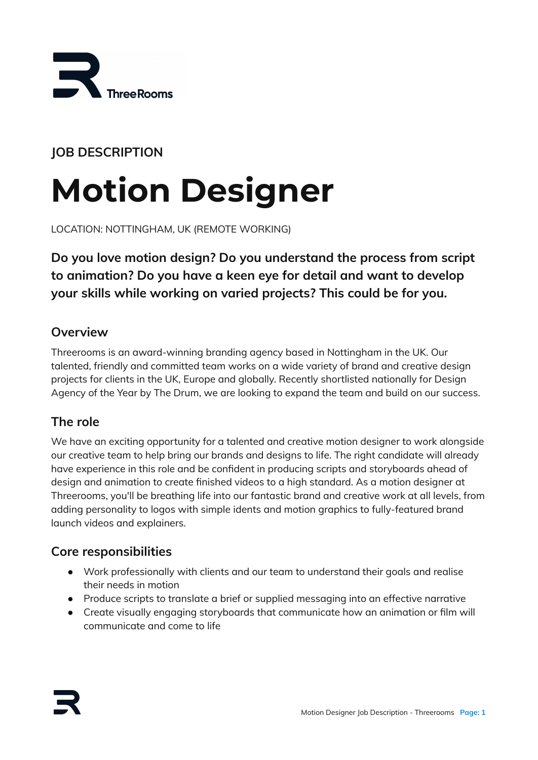

# **JOB DESCRIPTION**

# **Motion Designer**

LOCATION: NOTTINGHAM, UK (REMOTE WORKING)

**Do you love motion design? Do you understand the process from script to animation? Do you have a keen eye for detail and want to develop your skills while working on varied projects? This could be for you.**

## **Overview**

Threerooms is an award-winning branding agency based in Nottingham in the UK. Our talented, friendly and committed team works on a wide variety of brand and creative design projects for clients in the UK, Europe and globally. Recently shortlisted nationally for Design Agency of the Year by The Drum, we are looking to expand the team and build on our success.

## **The role**

We have an exciting opportunity for a talented and creative motion designer to work alongside our creative team to help bring our brands and designs to life. The right candidate will already have experience in this role and be confident in producing scripts and storyboards ahead of design and animation to create finished videos to a high standard. As a motion designer at Threerooms, you'll be breathing life into our fantastic brand and creative work at all levels, from adding personality to logos with simple idents and motion graphics to fully-featured brand launch videos and explainers.

## **Core responsibilities**

- Work professionally with clients and our team to understand their goals and realise their needs in motion
- Produce scripts to translate a brief or supplied messaging into an effective narrative
- Create visually engaging storyboards that communicate how an animation or film will communicate and come to life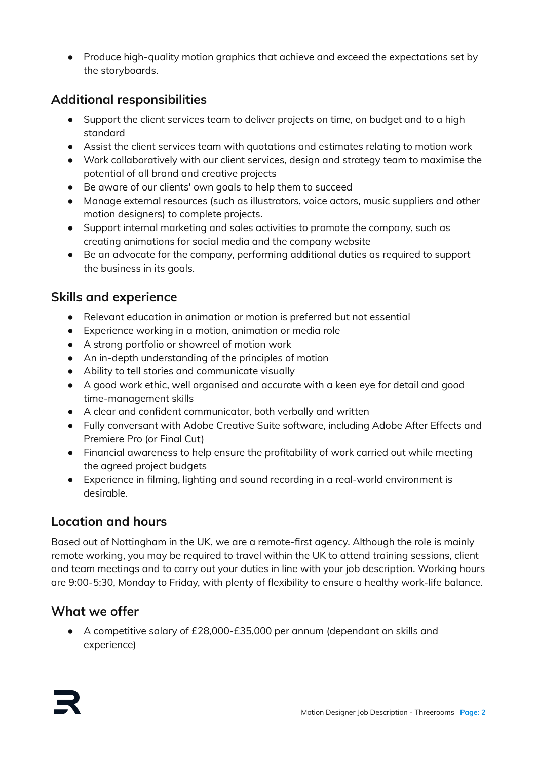● Produce high-quality motion graphics that achieve and exceed the expectations set by the storyboards.

# **Additional responsibilities**

- Support the client services team to deliver projects on time, on budget and to a high standard
- Assist the client services team with quotations and estimates relating to motion work
- Work collaboratively with our client services, design and strategy team to maximise the potential of all brand and creative projects
- Be aware of our clients' own goals to help them to succeed
- Manage external resources (such as illustrators, voice actors, music suppliers and other motion designers) to complete projects.
- Support internal marketing and sales activities to promote the company, such as creating animations for social media and the company website
- Be an advocate for the company, performing additional duties as required to support the business in its goals.

## **Skills and experience**

- Relevant education in animation or motion is preferred but not essential
- Experience working in a motion, animation or media role
- A strong portfolio or showreel of motion work
- An in-depth understanding of the principles of motion
- Ability to tell stories and communicate visually
- A good work ethic, well organised and accurate with a keen eye for detail and good time-management skills
- A clear and confident communicator, both verbally and written
- Fully conversant with Adobe Creative Suite software, including Adobe After Effects and Premiere Pro (or Final Cut)
- Financial awareness to help ensure the profitability of work carried out while meeting the agreed project budgets
- Experience in filming, lighting and sound recording in a real-world environment is desirable.

## **Location and hours**

Based out of Nottingham in the UK, we are a remote-first agency. Although the role is mainly remote working, you may be required to travel within the UK to attend training sessions, client and team meetings and to carry out your duties in line with your job description. Working hours are 9:00-5:30, Monday to Friday, with plenty of flexibility to ensure a healthy work-life balance.

## **What we offer**

● A competitive salary of £28,000-£35,000 per annum (dependant on skills and experience)